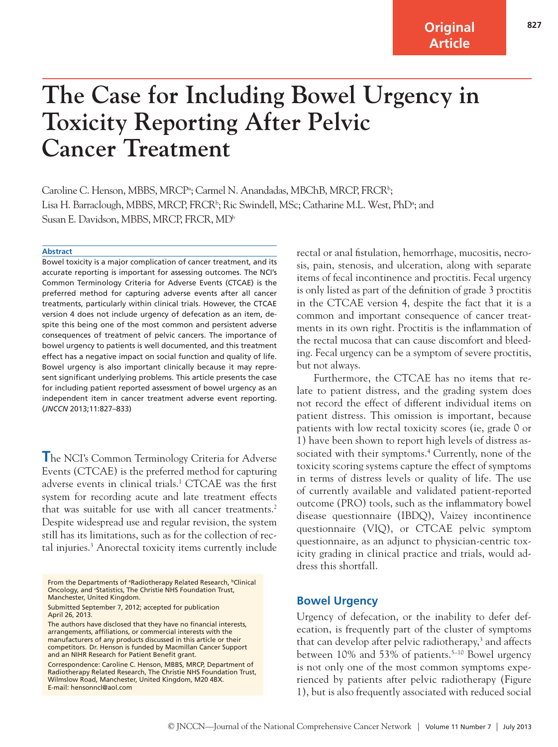**Original Article**

# **The Case for Including Bowel Urgency in Toxicity Reporting After Pelvic Cancer Treatment**

Caroline C. Henson, MBBS, MRCP<sup>a</sup>; Carmel N. Anandadas, MBChB, MRCP, FRCR<sup>b</sup>; Lisa H. Barraclough, MBBS, MRCP, FRCR<sup>1,</sup>; Ric Swindell, MSc; Catharine M.L. West, PhD<sup>a</sup>; and Susan E. Davidson, MBBS, MRCP, FRCR, MDb

#### **Abstract**

Bowel toxicity is a major complication of cancer treatment, and its accurate reporting is important for assessing outcomes. The NCI's Common Terminology Criteria for Adverse Events (CTCAE) is the preferred method for capturing adverse events after all cancer treatments, particularly within clinical trials. However, the CTCAE version 4 does not include urgency of defecation as an item, despite this being one of the most common and persistent adverse consequences of treatment of pelvic cancers. The importance of bowel urgency to patients is well documented, and this treatment effect has a negative impact on social function and quality of life. Bowel urgency is also important clinically because it may represent significant underlying problems. This article presents the case for including patient reported assessment of bowel urgency as an independent item in cancer treatment adverse event reporting. (*JNCCN* 2013;11:827–833)

**The NCI's Common Terminology Criteria for Adverse** Events (CTCAE) is the preferred method for capturing adverse events in clinical trials.1 CTCAE was the first system for recording acute and late treatment effects that was suitable for use with all cancer treatments.<sup>2</sup> Despite widespread use and regular revision, the system still has its limitations, such as for the collection of rectal injuries.<sup>3</sup> Anorectal toxicity items currently include

Submitted September 7, 2012; accepted for publication April 26, 2013.

rectal or anal fistulation, hemorrhage, mucositis, necrosis, pain, stenosis, and ulceration, along with separate items of fecal incontinence and proctitis. Fecal urgency is only listed as part of the definition of grade 3 proctitis in the CTCAE version 4, despite the fact that it is a common and important consequence of cancer treatments in its own right. Proctitis is the inflammation of the rectal mucosa that can cause discomfort and bleeding. Fecal urgency can be a symptom of severe proctitis, but not always.

Furthermore, the CTCAE has no items that relate to patient distress, and the grading system does not record the effect of different individual items on patient distress. This omission is important, because patients with low rectal toxicity scores (ie, grade 0 or 1) have been shown to report high levels of distress associated with their symptoms.<sup>4</sup> Currently, none of the toxicity scoring systems capture the effect of symptoms in terms of distress levels or quality of life. The use of currently available and validated patient-reported outcome (PRO) tools, such as the inflammatory bowel disease questionnaire (IBDQ), Vaizey incontinence questionnaire (VIQ), or CTCAE pelvic symptom questionnaire, as an adjunct to physician-centric toxicity grading in clinical practice and trials, would address this shortfall.

## **Bowel Urgency**

Urgency of defecation, or the inability to defer defecation, is frequently part of the cluster of symptoms that can develop after pelvic radiotherapy,<sup>3</sup> and affects between  $10\%$  and  $53\%$  of patients.<sup>5–10</sup> Bowel urgency is not only one of the most common symptoms experienced by patients after pelvic radiotherapy (Figure 1), but is also frequently associated with reduced social

From the Departments of <sup>a</sup>Radiotherapy Related Research, <sup>b</sup>Clinical Oncology, and 'Statistics, The Christie NHS Foundation Trust, Manchester, United Kingdom.

The authors have disclosed that they have no financial interests, arrangements, affiliations, or commercial interests with the manufacturers of any products discussed in this article or their competitors. Dr. Henson is funded by Macmillan Cancer Support and an NIHR Research for Patient Benefit grant.

Correspondence: Caroline C. Henson, MBBS, MRCP, Department of Radiotherapy Related Research, The Christie NHS Foundation Trust, Wilmslow Road, Manchester, United Kingdom, M20 4BX. E-mail: hensonncl@aol.com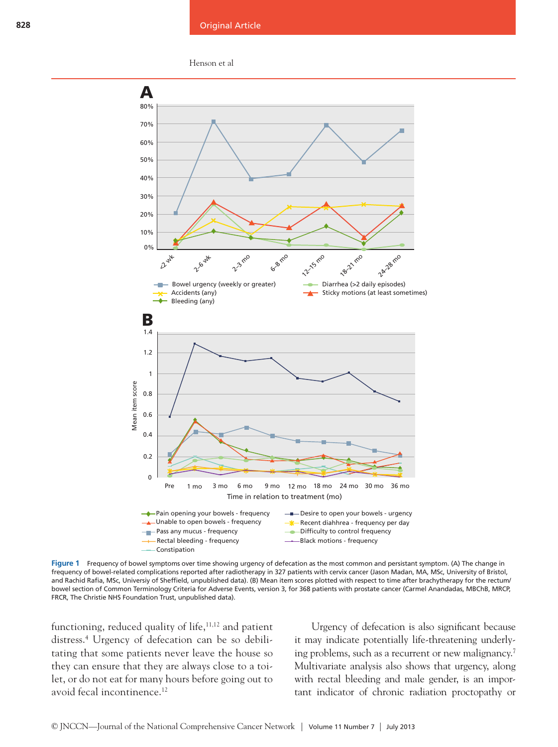



**Figure 1** Frequency of bowel symptoms over time showing urgency of defecation as the most common and persistant symptom. (A) The change in frequency of bowel-related complications reported after radiotherapy in 327 patients with cervix cancer (Jason Madan, MA, MSc, University of Bristol, and Rachid Rafia, MSc, Universiy of Sheffield, unpublished data). (B) Mean item scores plotted with respect to time after brachytherapy for the rectum/ bowel section of Common Terminology Criteria for Adverse Events, version 3, for 368 patients with prostate cancer (Carmel Anandadas, MBChB, MRCP, FRCR, The Christie NHS Foundation Trust, unpublished data).

functioning, reduced quality of life, $11,12$  and patient distress.4 Urgency of defecation can be so debilitating that some patients never leave the house so they can ensure that they are always close to a toilet, or do not eat for many hours before going out to avoid fecal incontinence.12

Urgency of defecation is also significant because it may indicate potentially life-threatening underlying problems, such as a recurrent or new malignancy.7 Multivariate analysis also shows that urgency, along with rectal bleeding and male gender, is an important indicator of chronic radiation proctopathy or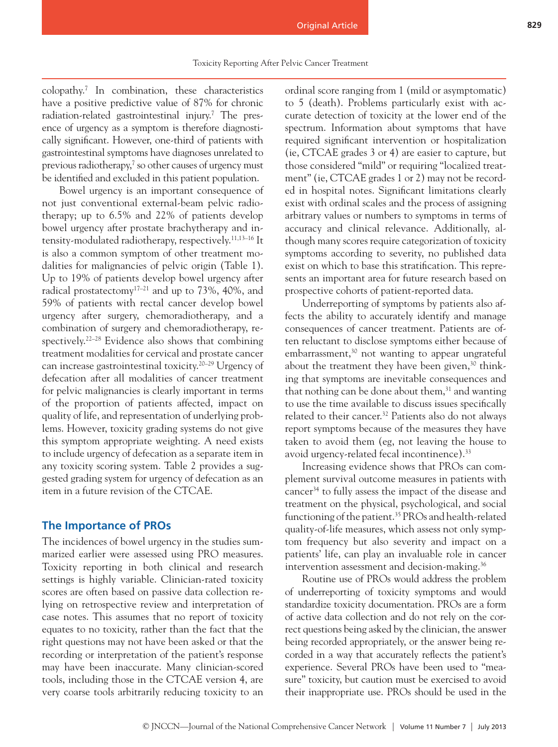colopathy.7 In combination, these characteristics have a positive predictive value of 87% for chronic radiation-related gastrointestinal injury.7 The presence of urgency as a symptom is therefore diagnostically significant. However, one-third of patients with gastrointestinal symptoms have diagnoses unrelated to previous radiotherapy, $\frac{7}{1}$  so other causes of urgency must be identified and excluded in this patient population.

Bowel urgency is an important consequence of not just conventional external-beam pelvic radiotherapy; up to 6.5% and 22% of patients develop bowel urgency after prostate brachytherapy and intensity-modulated radiotherapy, respectively.11,13–16 It is also a common symptom of other treatment modalities for malignancies of pelvic origin (Table 1). Up to 19% of patients develop bowel urgency after radical prostatectomy<sup>17–21</sup> and up to 73%, 40%, and 59% of patients with rectal cancer develop bowel urgency after surgery, chemoradiotherapy, and a combination of surgery and chemoradiotherapy, respectively.<sup>22–28</sup> Evidence also shows that combining treatment modalities for cervical and prostate cancer can increase gastrointestinal toxicity.20–29 Urgency of defecation after all modalities of cancer treatment for pelvic malignancies is clearly important in terms of the proportion of patients affected, impact on quality of life, and representation of underlying problems. However, toxicity grading systems do not give this symptom appropriate weighting. A need exists to include urgency of defecation as a separate item in any toxicity scoring system. Table 2 provides a suggested grading system for urgency of defecation as an item in a future revision of the CTCAE.

## **The Importance of PROs**

The incidences of bowel urgency in the studies summarized earlier were assessed using PRO measures. Toxicity reporting in both clinical and research settings is highly variable. Clinician-rated toxicity scores are often based on passive data collection relying on retrospective review and interpretation of case notes. This assumes that no report of toxicity equates to no toxicity, rather than the fact that the right questions may not have been asked or that the recording or interpretation of the patient's response may have been inaccurate. Many clinician-scored tools, including those in the CTCAE version 4, are very coarse tools arbitrarily reducing toxicity to an

ordinal score ranging from 1 (mild or asymptomatic) to 5 (death). Problems particularly exist with accurate detection of toxicity at the lower end of the spectrum. Information about symptoms that have required significant intervention or hospitalization (ie, CTCAE grades 3 or 4) are easier to capture, but those considered "mild" or requiring "localized treatment" (ie, CTCAE grades 1 or 2) may not be recorded in hospital notes. Significant limitations clearly exist with ordinal scales and the process of assigning arbitrary values or numbers to symptoms in terms of accuracy and clinical relevance. Additionally, although many scores require categorization of toxicity symptoms according to severity, no published data exist on which to base this stratification. This represents an important area for future research based on prospective cohorts of patient-reported data.

Underreporting of symptoms by patients also affects the ability to accurately identify and manage consequences of cancer treatment. Patients are often reluctant to disclose symptoms either because of embarrassment, $30$  not wanting to appear ungrateful about the treatment they have been given, $30$  thinking that symptoms are inevitable consequences and that nothing can be done about them, $31$  and wanting to use the time available to discuss issues specifically related to their cancer.<sup>32</sup> Patients also do not always report symptoms because of the measures they have taken to avoid them (eg, not leaving the house to avoid urgency-related fecal incontinence).33

Increasing evidence shows that PROs can complement survival outcome measures in patients with cancer34 to fully assess the impact of the disease and treatment on the physical, psychological, and social functioning of the patient.35 PROs and health-related quality-of-life measures, which assess not only symptom frequency but also severity and impact on a patients' life, can play an invaluable role in cancer intervention assessment and decision-making.<sup>36</sup>

Routine use of PROs would address the problem of underreporting of toxicity symptoms and would standardize toxicity documentation. PROs are a form of active data collection and do not rely on the correct questions being asked by the clinician, the answer being recorded appropriately, or the answer being recorded in a way that accurately reflects the patient's experience. Several PROs have been used to "measure" toxicity, but caution must be exercised to avoid their inappropriate use. PROs should be used in the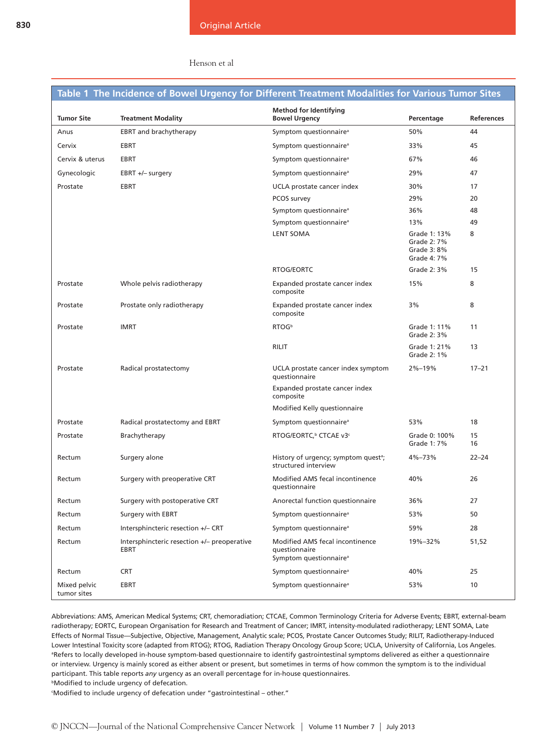#### Henson et al

## **Table 1 The Incidence of Bowel Urgency for Different Treatment Modalities for Various Tumor Sites**

| <b>Tumor Site</b>           | <b>Treatment Modality</b>                                  | <b>Method for Identifying</b><br><b>Bowel Urgency</b>                                  | Percentage                                                | <b>References</b> |
|-----------------------------|------------------------------------------------------------|----------------------------------------------------------------------------------------|-----------------------------------------------------------|-------------------|
| Anus                        | <b>EBRT</b> and brachytherapy                              | Symptom questionnaire <sup>a</sup>                                                     | 50%                                                       | 44                |
| Cervix                      | <b>EBRT</b>                                                | Symptom questionnaire <sup>a</sup>                                                     | 33%                                                       | 45                |
| Cervix & uterus             | <b>EBRT</b>                                                | Symptom questionnaire <sup>a</sup>                                                     | 67%                                                       | 46                |
| Gynecologic                 | EBRT +/- surgery                                           | Symptom questionnaire <sup>a</sup>                                                     | 29%                                                       | 47                |
| Prostate                    | EBRT                                                       | UCLA prostate cancer index                                                             | 30%                                                       | 17                |
|                             |                                                            | PCOS survey                                                                            | 29%                                                       | 20                |
|                             |                                                            | Symptom questionnaire <sup>a</sup>                                                     | 36%                                                       | 48                |
|                             |                                                            | Symptom questionnaire <sup>a</sup>                                                     | 13%                                                       | 49                |
|                             |                                                            | <b>LENT SOMA</b>                                                                       | Grade 1: 13%<br>Grade 2: 7%<br>Grade 3: 8%<br>Grade 4: 7% | 8                 |
|                             |                                                            | RTOG/EORTC                                                                             | Grade 2: 3%                                               | 15                |
| Prostate                    | Whole pelvis radiotherapy                                  | Expanded prostate cancer index<br>composite                                            | 15%                                                       | 8                 |
| Prostate                    | Prostate only radiotherapy                                 | Expanded prostate cancer index<br>composite                                            | 3%                                                        | 8                 |
| Prostate                    | <b>IMRT</b>                                                | RTOG <sup>b</sup>                                                                      | Grade 1: 11%<br>Grade 2: 3%                               | 11                |
|                             |                                                            | <b>RILIT</b>                                                                           | Grade 1: 21%<br>Grade 2: 1%                               | 13                |
| Prostate                    | Radical prostatectomy                                      | UCLA prostate cancer index symptom<br>questionnaire                                    | $2\% - 19\%$                                              | $17 - 21$         |
|                             |                                                            | Expanded prostate cancer index<br>composite                                            |                                                           |                   |
|                             |                                                            | Modified Kelly questionnaire                                                           |                                                           |                   |
| Prostate                    | Radical prostatectomy and EBRT                             | Symptom questionnaire <sup>a</sup>                                                     | 53%                                                       | 18                |
| Prostate                    | Brachytherapy                                              | RTOG/EORTC, <sup>b</sup> CTCAE v3c                                                     | Grade 0: 100%<br>Grade 1: 7%                              | 15<br>16          |
| Rectum                      | Surgery alone                                              | History of urgency; symptom quest <sup>a</sup> ;<br>structured interview               | 4%-73%                                                    | $22 - 24$         |
| Rectum                      | Surgery with preoperative CRT                              | Modified AMS fecal incontinence<br>questionnaire                                       | 40%                                                       | 26                |
| Rectum                      | Surgery with postoperative CRT                             | Anorectal function questionnaire                                                       | 36%                                                       | 27                |
| Rectum                      | Surgery with EBRT                                          | Symptom questionnaire <sup>a</sup>                                                     | 53%                                                       | 50                |
| Rectum                      | Intersphincteric resection +/- CRT                         | Symptom questionnaire <sup>a</sup>                                                     | 59%                                                       | 28                |
| Rectum                      | Intersphincteric resection +/- preoperative<br><b>EBRT</b> | Modified AMS fecal incontinence<br>questionnaire<br>Symptom questionnaire <sup>a</sup> | 19%-32%                                                   | 51,52             |
| Rectum                      | <b>CRT</b>                                                 | Symptom questionnaire <sup>a</sup>                                                     | 40%                                                       | 25                |
| Mixed pelvic<br>tumor sites | <b>EBRT</b>                                                | Symptom questionnaire <sup>a</sup>                                                     | 53%                                                       | 10                |

Abbreviations: AMS, American Medical Systems; CRT, chemoradiation; CTCAE, Common Terminology Criteria for Adverse Events; EBRT, external-beam radiotherapy; EORTC, European Organisation for Research and Treatment of Cancer; IMRT, intensity-modulated radiotherapy; LENT SOMA, Late Effects of Normal Tissue—Subjective, Objective, Management, Analytic scale; PCOS, Prostate Cancer Outcomes Study; RILIT, Radiotherapy-Induced Lower Intestinal Toxicity score (adapted from RTOG); RTOG, Radiation Therapy Oncology Group Score; UCLA, University of California, Los Angeles. <sup>a</sup>Refers to locally developed in-house symptom-based questionnaire to identify gastrointestinal symptoms delivered as either a questionnaire or interview. Urgency is mainly scored as either absent or present, but sometimes in terms of how common the symptom is to the individual participant. This table reports *any* urgency as an overall percentage for in-house questionnaires. **bModified to include urgency of defecation.**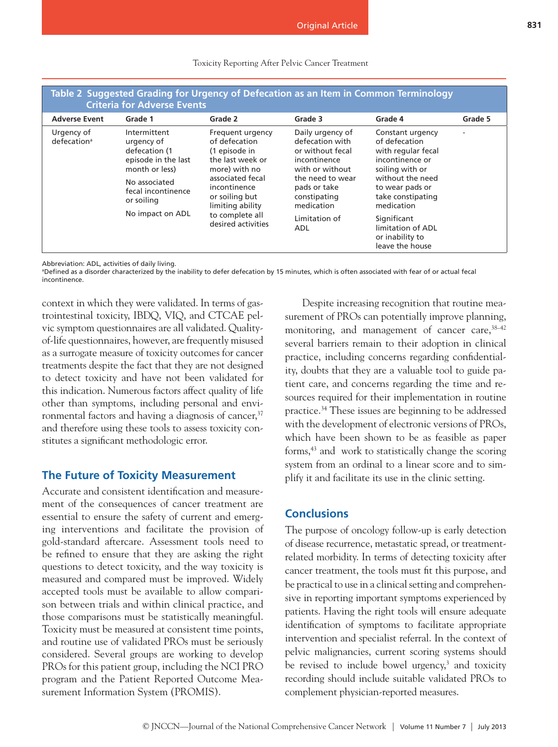| Table 2 Suggested Grading for Urgency of Defecation as an Item in Common Terminology<br><b>Criteria for Adverse Events</b> |                                                                                                                                           |                                                                                                                                                                                                            |                                                                                                                                                              |                                                                                                                                                                         |         |  |  |  |
|----------------------------------------------------------------------------------------------------------------------------|-------------------------------------------------------------------------------------------------------------------------------------------|------------------------------------------------------------------------------------------------------------------------------------------------------------------------------------------------------------|--------------------------------------------------------------------------------------------------------------------------------------------------------------|-------------------------------------------------------------------------------------------------------------------------------------------------------------------------|---------|--|--|--|
| <b>Adverse Event</b>                                                                                                       | Grade 1                                                                                                                                   | Grade 2                                                                                                                                                                                                    | Grade 3                                                                                                                                                      | Grade 4                                                                                                                                                                 | Grade 5 |  |  |  |
| Urgency of<br>defecation <sup>a</sup>                                                                                      | Intermittent<br>urgency of<br>defecation (1<br>episode in the last<br>month or less)<br>No associated<br>fecal incontinence<br>or soiling | Frequent urgency<br>of defecation<br>(1 episode in<br>the last week or<br>more) with no<br>associated fecal<br>incontinence<br>or soiling but<br>limiting ability<br>to complete all<br>desired activities | Daily urgency of<br>defecation with<br>or without fecal<br>incontinence<br>with or without<br>the need to wear<br>pads or take<br>constipating<br>medication | Constant urgency<br>of defecation<br>with regular fecal<br>incontinence or<br>soiling with or<br>without the need<br>to wear pads or<br>take constipating<br>medication | ٠       |  |  |  |
|                                                                                                                            | No impact on ADL                                                                                                                          |                                                                                                                                                                                                            | Limitation of<br>ADL                                                                                                                                         | Significant<br>limitation of ADL<br>or inability to<br>leave the house                                                                                                  |         |  |  |  |

#### Toxicity Reporting After Pelvic Cancer Treatment

Abbreviation: ADL, activities of daily living.

a Defined as a disorder characterized by the inability to defer defecation by 15 minutes, which is often associated with fear of or actual fecal incontinence.

context in which they were validated. In terms of gastrointestinal toxicity, IBDQ, VIQ, and CTCAE pelvic symptom questionnaires are all validated. Qualityof-life questionnaires, however, are frequently misused as a surrogate measure of toxicity outcomes for cancer treatments despite the fact that they are not designed to detect toxicity and have not been validated for this indication. Numerous factors affect quality of life other than symptoms, including personal and environmental factors and having a diagnosis of cancer,<sup>37</sup> and therefore using these tools to assess toxicity constitutes a significant methodologic error.

## **The Future of Toxicity Measurement**

Accurate and consistent identification and measurement of the consequences of cancer treatment are essential to ensure the safety of current and emerging interventions and facilitate the provision of gold-standard aftercare. Assessment tools need to be refined to ensure that they are asking the right questions to detect toxicity, and the way toxicity is measured and compared must be improved. Widely accepted tools must be available to allow comparison between trials and within clinical practice, and those comparisons must be statistically meaningful. Toxicity must be measured at consistent time points, and routine use of validated PROs must be seriously considered. Several groups are working to develop PROs for this patient group, including the NCI PRO program and the Patient Reported Outcome Measurement Information System (PROMIS).

Despite increasing recognition that routine measurement of PROs can potentially improve planning, monitoring, and management of cancer care,  $38-42$ several barriers remain to their adoption in clinical practice, including concerns regarding confidentiality, doubts that they are a valuable tool to guide patient care, and concerns regarding the time and resources required for their implementation in routine practice.34 These issues are beginning to be addressed with the development of electronic versions of PROs, which have been shown to be as feasible as paper forms,43 and work to statistically change the scoring system from an ordinal to a linear score and to simplify it and facilitate its use in the clinic setting.

## **Conclusions**

The purpose of oncology follow-up is early detection of disease recurrence, metastatic spread, or treatmentrelated morbidity. In terms of detecting toxicity after cancer treatment, the tools must fit this purpose, and be practical to use in a clinical setting and comprehensive in reporting important symptoms experienced by patients. Having the right tools will ensure adequate identification of symptoms to facilitate appropriate intervention and specialist referral. In the context of pelvic malignancies, current scoring systems should be revised to include bowel urgency,<sup>3</sup> and toxicity recording should include suitable validated PROs to complement physician-reported measures.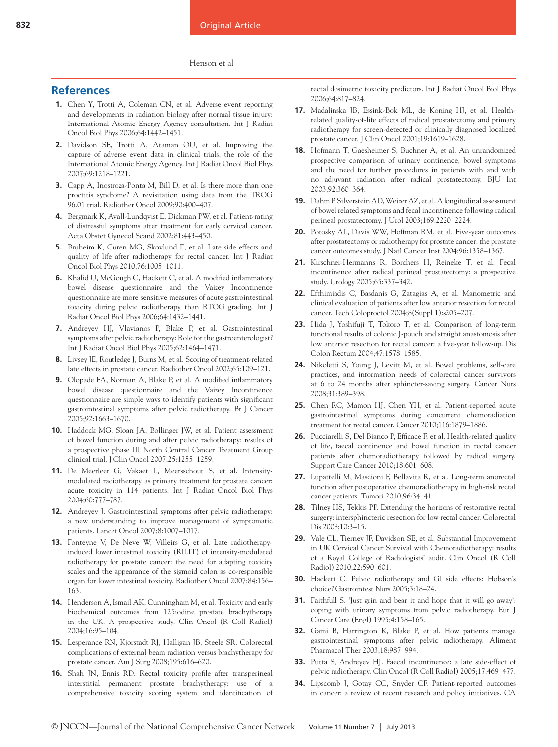#### Henson et al

## **References**

- **1.** Chen Y, Trotti A, Coleman CN, et al. Adverse event reporting and developments in radiation biology after normal tissue injury: International Atomic Energy Agency consultation. Int J Radiat Oncol Biol Phys 2006;64:1442–1451.
- **2.** Davidson SE, Trotti A, Ataman OU, et al. Improving the capture of adverse event data in clinical trials: the role of the International Atomic Energy Agency. Int J Radiat Oncol Biol Phys 2007;69:1218–1221.
- **3.** Capp A, Inostroza-Ponta M, Bill D, et al. Is there more than one proctitis syndrome? A revisitation using data from the TROG 96.01 trial. Radiother Oncol 2009;90:400–407.
- **4.** Bergmark K, Avall-Lundqvist E, Dickman PW, et al. Patient-rating of distressful symptoms after treatment for early cervical cancer. Acta Obstet Gynecol Scand 2002;81:443–450.
- **5.** Bruheim K, Guren MG, Skovlund E, et al. Late side effects and quality of life after radiotherapy for rectal cancer. Int J Radiat Oncol Biol Phys 2010;76:1005–1011.
- **6.** Khalid U, McGough C, Hackett C, et al. A modified inflammatory bowel disease questionnaire and the Vaizey Incontinence questionnaire are more sensitive measures of acute gastrointestinal toxicity during pelvic radiotherapy than RTOG grading. Int J Radiat Oncol Biol Phys 2006;64:1432–1441.
- **7.** Andreyev HJ, Vlavianos P, Blake P, et al. Gastrointestinal symptoms after pelvic radiotherapy: Role for the gastroenterologist? Int J Radiat Oncol Biol Phys 2005;62:1464–1471.
- **8.** Livsey JE, Routledge J, Burns M, et al. Scoring of treatment-related late effects in prostate cancer. Radiother Oncol 2002;65:109–121.
- **9.** Olopade FA, Norman A, Blake P, et al. A modified inflammatory bowel disease questionnaire and the Vaizey Incontinence questionnaire are simple ways to identify patients with significant gastrointestinal symptoms after pelvic radiotherapy. Br J Cancer 2005;92:1663–1670.
- **10.** Haddock MG, Sloan JA, Bollinger JW, et al. Patient assessment of bowel function during and after pelvic radiotherapy: results of a prospective phase III North Central Cancer Treatment Group clinical trial. J Clin Oncol 2007;25:1255–1259.
- **11.** De Meerleer G, Vakaet L, Meersschout S, et al. Intensitymodulated radiotherapy as primary treatment for prostate cancer: acute toxicity in 114 patients. Int J Radiat Oncol Biol Phys 2004;60:777–787.
- **12.** Andreyev J. Gastrointestinal symptoms after pelvic radiotherapy: a new understanding to improve management of symptomatic patients. Lancet Oncol 2007;8:1007–1017.
- **13.** Fonteyne V, De Neve W, Villeirs G, et al. Late radiotherapyinduced lower intestinal toxicity (RILIT) of intensity-modulated radiotherapy for prostate cancer: the need for adapting toxicity scales and the appearance of the sigmoid colon as co-responsible organ for lower intestinal toxicity. Radiother Oncol 2007;84:156– 163.
- **14.** Henderson A, Ismail AK, Cunningham M, et al. Toxicity and early biochemical outcomes from 125iodine prostate brachytherapy in the UK. A prospective study. Clin Oncol (R Coll Radiol) 2004;16:95–104.
- **15.** Lesperance RN, Kjorstadt RJ, Halligan JB, Steele SR. Colorectal complications of external beam radiation versus brachytherapy for prostate cancer. Am J Surg 2008;195:616–620.
- **16.** Shah JN, Ennis RD. Rectal toxicity profile after transperineal interstitial permanent prostate brachytherapy: use of a comprehensive toxicity scoring system and identification of

rectal dosimetric toxicity predictors. Int J Radiat Oncol Biol Phys 2006;64:817–824.

- **17.** Madalinska JB, Essink-Bok ML, de Koning HJ, et al. Healthrelated quality-of-life effects of radical prostatectomy and primary radiotherapy for screen-detected or clinically diagnosed localized prostate cancer. J Clin Oncol 2001;19:1619–1628.
- **18.** Hofmann T, Gaesheimer S, Buchner A, et al. An unrandomized prospective comparison of urinary continence, bowel symptoms and the need for further procedures in patients with and with no adjuvant radiation after radical prostatectomy. BJU Int 2003;92:360–364.
- **19.** Dahm P, Silverstein AD, Weizer AZ, et al. A longitudinal assessment of bowel related symptoms and fecal incontinence following radical perineal prostatectomy. J Urol 2003;169:2220–2224.
- **20.** Potosky AL, Davis WW, Hoffman RM, et al. Five-year outcomes after prostatectomy or radiotherapy for prostate cancer: the prostate cancer outcomes study. J Natl Cancer Inst 2004;96:1358–1367.
- **21.** Kirschner-Hermanns R, Borchers H, Reineke T, et al. Fecal incontinence after radical perineal prostatectomy: a prospective study. Urology 2005;65:337–342.
- **22.** Efthimiadis C, Basdanis G, Zatagias A, et al. Manometric and clinical evaluation of patients after low anterior resection for rectal cancer. Tech Coloproctol 2004;8(Suppl 1):s205–207.
- **23.** Hida J, Yoshifuji T, Tokoro T, et al. Comparison of long-term functional results of colonic J-pouch and straight anastomosis after low anterior resection for rectal cancer: a five-year follow-up. Dis Colon Rectum 2004;47:1578–1585.
- **24.** Nikoletti S, Young J, Levitt M, et al. Bowel problems, self-care practices, and information needs of colorectal cancer survivors at 6 to 24 months after sphincter-saving surgery. Cancer Nurs 2008;31:389–398.
- **25.** Chen RC, Mamon HJ, Chen YH, et al. Patient-reported acute gastrointestinal symptoms during concurrent chemoradiation treatment for rectal cancer. Cancer 2010;116:1879–1886.
- **26.** Pucciarelli S, Del Bianco P, Efficace F, et al. Health-related quality of life, faecal continence and bowel function in rectal cancer patients after chemoradiotherapy followed by radical surgery. Support Care Cancer 2010;18:601–608.
- **27.** Lupattelli M, Mascioni F, Bellavita R, et al. Long-term anorectal function after postoperative chemoradiotherapy in high-risk rectal cancer patients. Tumori 2010;96:34–41.
- **28.** Tilney HS, Tekkis PP. Extending the horizons of restorative rectal surgery: intersphincteric resection for low rectal cancer. Colorectal Dis 2008;10:3–15.
- **29.** Vale CL, Tierney JF, Davidson SE, et al. Substantial Improvement in UK Cervical Cancer Survival with Chemoradiotherapy: results of a Royal College of Radiologists' audit. Clin Oncol (R Coll Radiol) 2010;22:590–601.
- **30.** Hackett C. Pelvic radiotherapy and GI side effects: Hobson's choice? Gastrointest Nurs 2005;3:18–24.
- **31.** Faithfull S. 'Just grin and bear it and hope that it will go away': coping with urinary symptoms from pelvic radiotherapy. Eur J Cancer Care (Engl) 1995;4:158–165.
- **32.** Gami B, Harrington K, Blake P, et al. How patients manage gastrointestinal symptoms after pelvic radiotherapy. Aliment Pharmacol Ther 2003;18:987–994.
- **33.** Putta S, Andreyev HJ. Faecal incontinence: a late side-effect of pelvic radiotherapy. Clin Oncol (R Coll Radiol) 2005;17:469–477.
- **34.** Lipscomb J, Gotay CC, Snyder CF. Patient-reported outcomes in cancer: a review of recent research and policy initiatives. CA